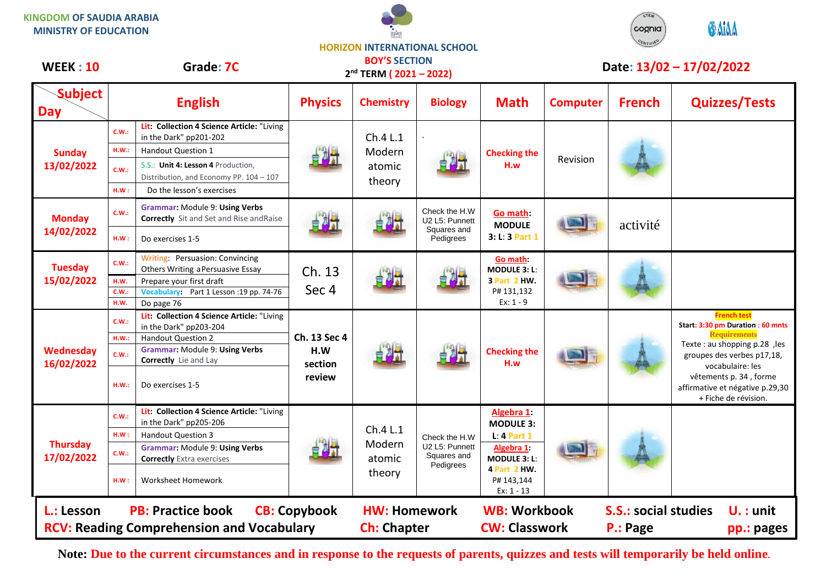**KINGDOM OF SAUDIA ARABIA MINISTRY OF EDUCATION**





## **HORIZON INTERNATIONAL SCHOOL BOY'S SECTION**

**WEEK : 10 Grade: 7C Date: 13/02 – 17/02/2022**

| VVCCN : IU                                                    | Grade: 7C      |                                                                                                   | 2 <sup>nd</sup> TERM (2021-2022)         |                                        |                                                             |                                                                              | Date: 13/02 - 17/02/2022                   |               |                                                                                   |
|---------------------------------------------------------------|----------------|---------------------------------------------------------------------------------------------------|------------------------------------------|----------------------------------------|-------------------------------------------------------------|------------------------------------------------------------------------------|--------------------------------------------|---------------|-----------------------------------------------------------------------------------|
| <b>Subject</b><br><b>Day</b>                                  |                | <b>English</b>                                                                                    | <b>Physics</b>                           | <b>Chemistry</b>                       | <b>Biology</b>                                              | <b>Math</b>                                                                  | <b>Computer</b>                            | <b>French</b> | <b>Quizzes/Tests</b>                                                              |
| <b>Sunday</b><br>13/02/2022<br><b>Monday</b><br>14/02/2022    | C.W.:<br>H.W.: | Lit: Collection 4 Science Article: "Living<br>in the Dark" pp201-202<br><b>Handout Question 1</b> | 自身式                                      | Ch.4 L.1<br>Modern<br>atomic<br>theory | Check the H.W<br>U2 L5: Punnett<br>Squares and<br>Pedigrees | <b>Checking the</b><br>H.w<br>Go math:<br><b>MODULE</b><br>3: L: 3 Part 1    | Revision                                   | activité      |                                                                                   |
|                                                               | C.W.:          | S.S.: Unit 4: Lesson 4 Production,<br>Distribution, and Economy PP. 104 - 107                     |                                          |                                        |                                                             |                                                                              |                                            |               |                                                                                   |
|                                                               | HM:            | Do the lesson's exercises                                                                         |                                          |                                        |                                                             |                                                                              |                                            |               |                                                                                   |
|                                                               | <b>C.W.:</b>   | <b>Grammar: Module 9: Using Verbs</b><br><b>Correctly</b> Sit and Set and Rise and Raise          |                                          |                                        |                                                             |                                                                              |                                            |               |                                                                                   |
|                                                               | HM:            | Do exercises 1-5                                                                                  |                                          |                                        |                                                             |                                                                              |                                            |               |                                                                                   |
| <b>Tuesday</b><br>15/02/2022                                  | C.W.:          | Writing: Persuasion: Convincing<br>Others Writing a Persuasive Essay                              | Ch. 13<br>Sec 4                          |                                        |                                                             | Go math:<br><b>MODULE 3: L:</b><br>3 Part 2 HW.<br>P# 131,132<br>$Ex: 1 - 9$ |                                            |               |                                                                                   |
|                                                               | H.W.           | Prepare your first draft                                                                          |                                          |                                        |                                                             |                                                                              |                                            |               |                                                                                   |
|                                                               | C.W.:<br>H.W.  | Vocabulary: Part 1 Lesson :19 pp. 74-76<br>Do page 76                                             |                                          |                                        |                                                             |                                                                              |                                            |               |                                                                                   |
| Wednesday<br>16/02/2022                                       | C.W.:          | Lit: Collection 4 Science Article: "Living<br>in the Dark" pp203-204                              | Ch. 13 Sec 4<br>H.W<br>section<br>review |                                        |                                                             | <b>Checking the</b><br>H.w                                                   |                                            |               | <b>French test</b><br>Start: 3:30 pm Duration: 60 mnts                            |
|                                                               | H.W.:          | Handout Question 2                                                                                |                                          |                                        |                                                             |                                                                              |                                            |               | <b>Requirements</b>                                                               |
|                                                               | C.W.:          | Grammar: Module 9: Using Verbs<br>Correctly Lie and Lay                                           |                                          |                                        |                                                             |                                                                              |                                            |               | Texte : au shopping p.28, les<br>groupes des verbes p17,18,<br>vocabulaire: les   |
|                                                               | H.W.:          | Do exercises 1-5                                                                                  |                                          |                                        |                                                             |                                                                              |                                            |               | vêtements p. 34, forme<br>affirmative et négative p.29,30<br>+ Fiche de révision. |
| <b>Thursday</b><br>17/02/2022                                 | C.W.:          | Lit: Collection 4 Science Article: "Living<br>in the Dark" pp205-206                              |                                          | Ch.4 L.1<br>Modern<br>atomic<br>theory | Check the H.W<br>U2 L5: Punnett<br>Squares and<br>Pedigrees | Algebra 1:<br><b>MODULE 3:</b>                                               |                                            |               |                                                                                   |
|                                                               | HM:            | <b>Handout Question 3</b>                                                                         |                                          |                                        |                                                             | $L: 4$ Part 1                                                                |                                            |               |                                                                                   |
|                                                               | C.W.:          | Grammar: Module 9: Using Verbs<br><b>Correctly</b> Extra exercises                                |                                          |                                        |                                                             | Algebra 1:<br><b>MODULE 3: L:</b>                                            |                                            |               |                                                                                   |
|                                                               | H.W:           | Worksheet Homework                                                                                |                                          |                                        |                                                             | 4 Part 2 HW.<br>P# 143,144<br>$Ex: 1 - 13$                                   |                                            |               |                                                                                   |
| <b>PB: Practice book</b><br><b>CB: Copybook</b><br>L.: Lesson |                |                                                                                                   | <b>HW: Homework</b>                      |                                        | <b>WB: Workbook</b>                                         |                                                                              | <b>S.S.: social studies</b><br>$U.$ : unit |               |                                                                                   |
| <b>RCV: Reading Comprehension and Vocabulary</b>              |                |                                                                                                   | <b>Ch: Chapter</b>                       |                                        | <b>CW: Classwork</b>                                        |                                                                              | P.: Page<br>pp.: pages                     |               |                                                                                   |

**Note: Due to the current circumstances and in response to the requests of parents, quizzes and tests will temporarily be held online.**